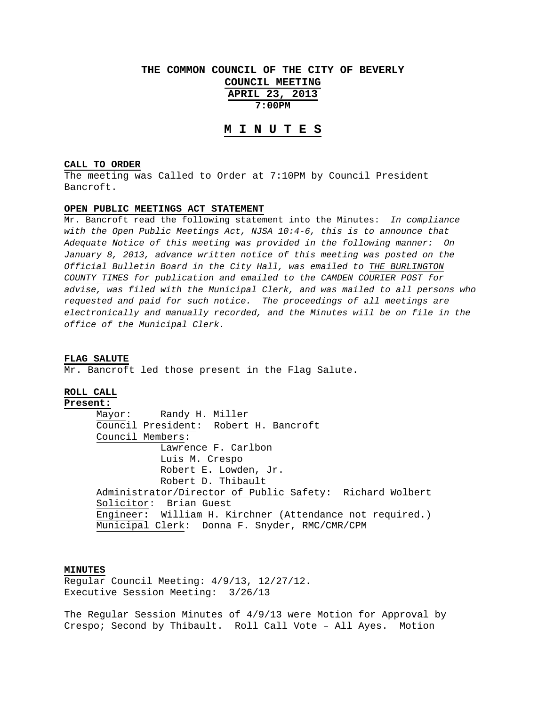# **THE COMMON COUNCIL OF THE CITY OF BEVERLY COUNCIL MEETING APRIL 23, 2013 7:00PM**

## **M I N U T E S**

## **CALL TO ORDER**

The meeting was Called to Order at 7:10PM by Council President Bancroft.

#### **OPEN PUBLIC MEETINGS ACT STATEMENT**

Mr. Bancroft read the following statement into the Minutes: *In compliance with the Open Public Meetings Act, NJSA 10:4-6, this is to announce that Adequate Notice of this meeting was provided in the following manner: On January 8, 2013, advance written notice of this meeting was posted on the Official Bulletin Board in the City Hall, was emailed to THE BURLINGTON COUNTY TIMES for publication and emailed to the CAMDEN COURIER POST for advise, was filed with the Municipal Clerk, and was mailed to all persons who requested and paid for such notice. The proceedings of all meetings are electronically and manually recorded, and the Minutes will be on file in the office of the Municipal Clerk.* 

#### **FLAG SALUTE**

Mr. Bancroft led those present in the Flag Salute.

## **ROLL CALL**

**Present:** Mayor: Randy H. Miller Council President: Robert H. Bancroft Council Members: Lawrence F. Carlbon Luis M. Crespo Robert E. Lowden, Jr. Robert D. Thibault Administrator/Director of Public Safety: Richard Wolbert Solicitor: Brian Guest Engineer: William H. Kirchner (Attendance not required.) Municipal Clerk: Donna F. Snyder, RMC/CMR/CPM

## **MINUTES**

Regular Council Meeting: 4/9/13, 12/27/12. Executive Session Meeting: 3/26/13

The Regular Session Minutes of 4/9/13 were Motion for Approval by Crespo; Second by Thibault. Roll Call Vote – All Ayes. Motion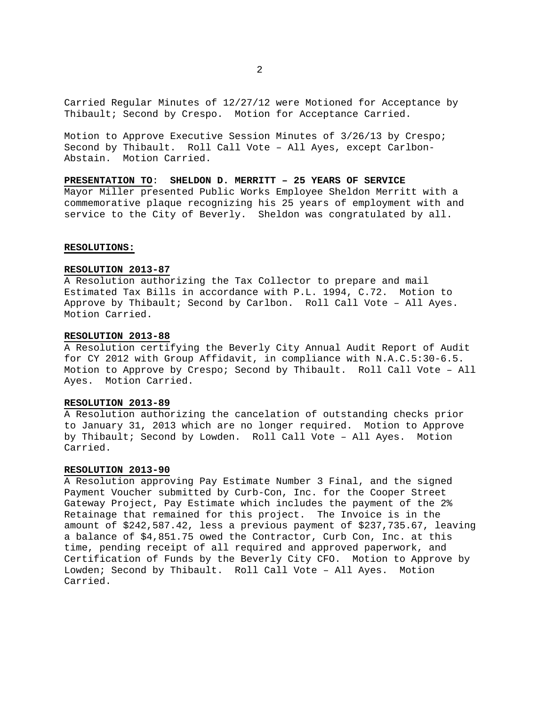Carried Regular Minutes of 12/27/12 were Motioned for Acceptance by Thibault; Second by Crespo. Motion for Acceptance Carried.

Motion to Approve Executive Session Minutes of 3/26/13 by Crespo; Second by Thibault. Roll Call Vote – All Ayes, except Carlbon-Abstain. Motion Carried.

**PRESENTATION TO**: **SHELDON D. MERRITT – 25 YEARS OF SERVICE** Mayor Miller presented Public Works Employee Sheldon Merritt with a commemorative plaque recognizing his 25 years of employment with and service to the City of Beverly. Sheldon was congratulated by all.

#### **RESOLUTIONS:**

## **RESOLUTION 2013-87**

A Resolution authorizing the Tax Collector to prepare and mail Estimated Tax Bills in accordance with P.L. 1994, C.72. Motion to Approve by Thibault; Second by Carlbon. Roll Call Vote – All Ayes. Motion Carried.

#### **RESOLUTION 2013-88**

A Resolution certifying the Beverly City Annual Audit Report of Audit for CY 2012 with Group Affidavit, in compliance with N.A.C.5:30-6.5. Motion to Approve by Crespo; Second by Thibault. Roll Call Vote – All Ayes. Motion Carried.

## **RESOLUTION 2013-89**

A Resolution authorizing the cancelation of outstanding checks prior to January 31, 2013 which are no longer required. Motion to Approve by Thibault; Second by Lowden. Roll Call Vote – All Ayes. Motion Carried.

#### **RESOLUTION 2013-90**

A Resolution approving Pay Estimate Number 3 Final, and the signed Payment Voucher submitted by Curb-Con, Inc. for the Cooper Street Gateway Project, Pay Estimate which includes the payment of the 2% Retainage that remained for this project. The Invoice is in the amount of \$242,587.42, less a previous payment of \$237,735.67, leaving a balance of \$4,851.75 owed the Contractor, Curb Con, Inc. at this time, pending receipt of all required and approved paperwork, and Certification of Funds by the Beverly City CFO. Motion to Approve by Lowden; Second by Thibault. Roll Call Vote – All Ayes. Motion Carried.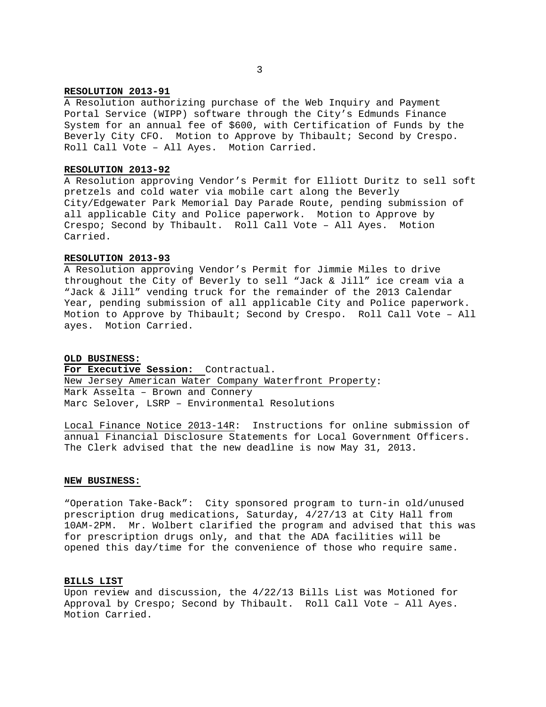## **RESOLUTION 2013-91**

A Resolution authorizing purchase of the Web Inquiry and Payment Portal Service (WIPP) software through the City's Edmunds Finance System for an annual fee of \$600, with Certification of Funds by the Beverly City CFO. Motion to Approve by Thibault; Second by Crespo. Roll Call Vote – All Ayes. Motion Carried.

#### **RESOLUTION 2013-92**

A Resolution approving Vendor's Permit for Elliott Duritz to sell soft pretzels and cold water via mobile cart along the Beverly City/Edgewater Park Memorial Day Parade Route, pending submission of all applicable City and Police paperwork. Motion to Approve by Crespo; Second by Thibault. Roll Call Vote – All Ayes. Motion Carried.

#### **RESOLUTION 2013-93**

A Resolution approving Vendor's Permit for Jimmie Miles to drive throughout the City of Beverly to sell "Jack & Jill" ice cream via a "Jack & Jill" vending truck for the remainder of the 2013 Calendar Year, pending submission of all applicable City and Police paperwork. Motion to Approve by Thibault; Second by Crespo. Roll Call Vote – All ayes. Motion Carried.

#### **OLD BUSINESS:**

**For Executive Session:** Contractual. New Jersey American Water Company Waterfront Property: Mark Asselta – Brown and Connery Marc Selover, LSRP – Environmental Resolutions

Local Finance Notice 2013-14R: Instructions for online submission of annual Financial Disclosure Statements for Local Government Officers. The Clerk advised that the new deadline is now May 31, 2013.

## **NEW BUSINESS:**

"Operation Take-Back": City sponsored program to turn-in old/unused prescription drug medications, Saturday, 4/27/13 at City Hall from 10AM-2PM. Mr. Wolbert clarified the program and advised that this was for prescription drugs only, and that the ADA facilities will be opened this day/time for the convenience of those who require same.

## **BILLS LIST**

Upon review and discussion, the 4/22/13 Bills List was Motioned for Approval by Crespo; Second by Thibault. Roll Call Vote – All Ayes. Motion Carried.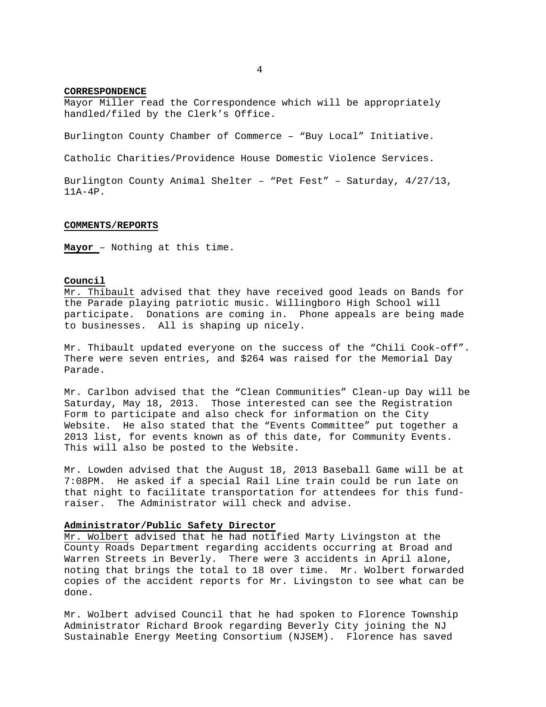## **CORRESPONDENCE**

Mayor Miller read the Correspondence which will be appropriately handled/filed by the Clerk's Office.

Burlington County Chamber of Commerce – "Buy Local" Initiative.

Catholic Charities/Providence House Domestic Violence Services.

Burlington County Animal Shelter – "Pet Fest" – Saturday, 4/27/13, 11A-4P.

#### **COMMENTS/REPORTS**

**Mayor** – Nothing at this time.

#### **Council**

Mr. Thibault advised that they have received good leads on Bands for the Parade playing patriotic music. Willingboro High School will participate. Donations are coming in. Phone appeals are being made to businesses. All is shaping up nicely.

Mr. Thibault updated everyone on the success of the "Chili Cook-off". There were seven entries, and \$264 was raised for the Memorial Day Parade.

Mr. Carlbon advised that the "Clean Communities" Clean-up Day will be Saturday, May 18, 2013. Those interested can see the Registration Form to participate and also check for information on the City Website. He also stated that the "Events Committee" put together a 2013 list, for events known as of this date, for Community Events. This will also be posted to the Website.

Mr. Lowden advised that the August 18, 2013 Baseball Game will be at 7:08PM. He asked if a special Rail Line train could be run late on that night to facilitate transportation for attendees for this fundraiser. The Administrator will check and advise.

#### **Administrator/Public Safety Director**

Mr. Wolbert advised that he had notified Marty Livingston at the County Roads Department regarding accidents occurring at Broad and Warren Streets in Beverly. There were 3 accidents in April alone, noting that brings the total to 18 over time. Mr. Wolbert forwarded copies of the accident reports for Mr. Livingston to see what can be done.

Mr. Wolbert advised Council that he had spoken to Florence Township Administrator Richard Brook regarding Beverly City joining the NJ Sustainable Energy Meeting Consortium (NJSEM). Florence has saved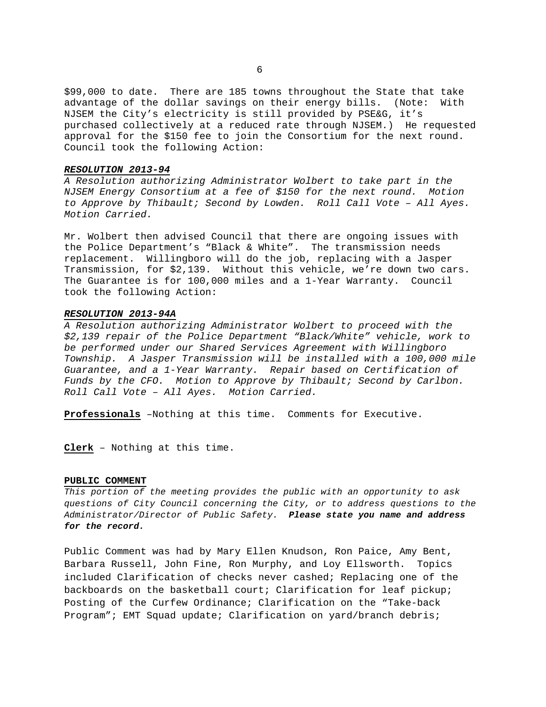\$99,000 to date. There are 185 towns throughout the State that take advantage of the dollar savings on their energy bills. (Note: With NJSEM the City's electricity is still provided by PSE&G, it's purchased collectively at a reduced rate through NJSEM.) He requested approval for the \$150 fee to join the Consortium for the next round. Council took the following Action:

#### *RESOLUTION 2013-94*

*A Resolution authorizing Administrator Wolbert to take part in the NJSEM Energy Consortium at a fee of \$150 for the next round. Motion to Approve by Thibault; Second by Lowden. Roll Call Vote – All Ayes. Motion Carried.* 

Mr. Wolbert then advised Council that there are ongoing issues with the Police Department's "Black & White". The transmission needs replacement. Willingboro will do the job, replacing with a Jasper Transmission, for \$2,139. Without this vehicle, we're down two cars. The Guarantee is for 100,000 miles and a 1-Year Warranty. Council took the following Action:

## *RESOLUTION 2013-94A*

*A Resolution authorizing Administrator Wolbert to proceed with the \$2,139 repair of the Police Department "Black/White" vehicle, work to be performed under our Shared Services Agreement with Willingboro Township. A Jasper Transmission will be installed with a 100,000 mile Guarantee, and a 1-Year Warranty. Repair based on Certification of Funds by the CFO. Motion to Approve by Thibault; Second by Carlbon. Roll Call Vote – All Ayes. Motion Carried.* 

**Professionals** –Nothing at this time. Comments for Executive.

**Clerk** – Nothing at this time.

## **PUBLIC COMMENT**

*This portion of the meeting provides the public with an opportunity to ask questions of City Council concerning the City, or to address questions to the Administrator/Director of Public Safety. Please state you name and address for the record.* 

Public Comment was had by Mary Ellen Knudson, Ron Paice, Amy Bent, Barbara Russell, John Fine, Ron Murphy, and Loy Ellsworth. Topics included Clarification of checks never cashed; Replacing one of the backboards on the basketball court; Clarification for leaf pickup; Posting of the Curfew Ordinance; Clarification on the "Take-back Program"; EMT Squad update; Clarification on yard/branch debris;